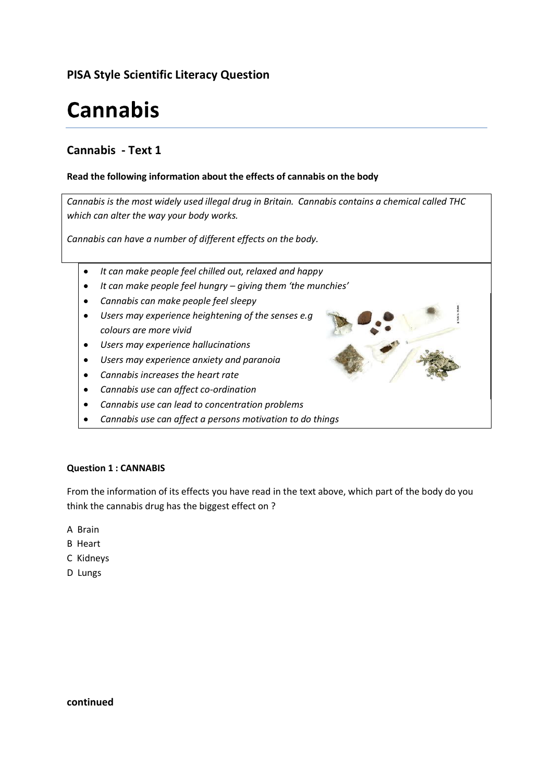# **PISA Style Scientific Literacy Question**

# **Cannabis**

# **Cannabis - Text 1**

## **Read the following information about the effects of cannabis on the body**

*Cannabis is the most widely used illegal drug in Britain. Cannabis contains a chemical called THC which can alter the way your body works.* 

*Cannabis can have a number of different effects on the body.*

- *It can make people feel chilled out, relaxed and happy*  $\bullet$
- *It can make people feel hungry – giving them 'the munchies'*  $\bullet$
- *Cannabis can make people feel sleepy*  $\bullet$
- *Users may experience heightening of the senses e.g*   $\bullet$ *colours are more vivid*
- *Users may experience hallucinations*  $\bullet$
- *Users may experience anxiety and paranoia*  $\bullet$
- *Cannabis increases the heart rate*
- *Cannabis use can affect co-ordination*   $\bullet$
- *Cannabis use can lead to concentration problems*  $\bullet$
- $\bullet$ *Cannabis use can affect a persons motivation to do things*

#### **Question 1 : CANNABIS**

From the information of its effects you have read in the text above, which part of the body do you think the cannabis drug has the biggest effect on ?

- A Brain
- B Heart
- C Kidneys
- D Lungs

**continued**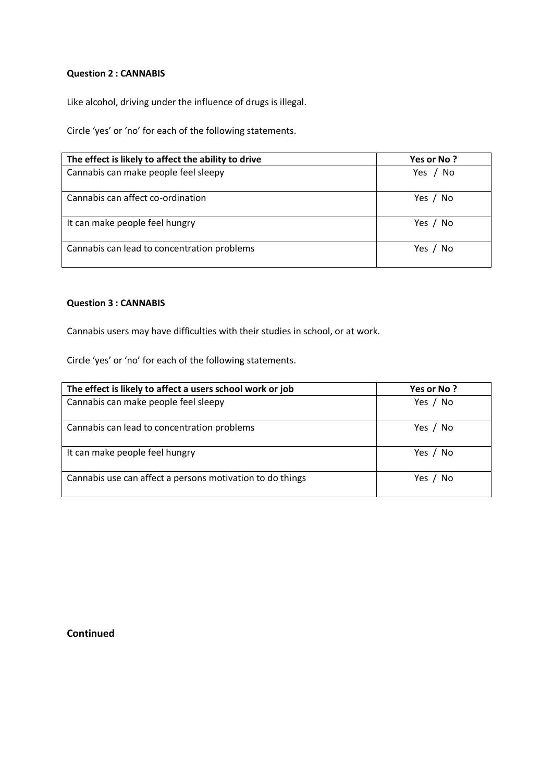#### **Question 2 : CANNABIS**

Like alcohol, driving under the influence of drugs is illegal.

Circle 'yes' or 'no' for each of the following statements.

| The effect is likely to affect the ability to drive | Yes or No ? |
|-----------------------------------------------------|-------------|
| Cannabis can make people feel sleepy                | Yes / No    |
| Cannabis can affect co-ordination                   | Yes / No    |
| It can make people feel hungry                      | Yes / No    |
| Cannabis can lead to concentration problems         | Yes / No    |

#### **Question 3 : CANNABIS**

Cannabis users may have difficulties with their studies in school, or at work.

Circle 'yes' or 'no' for each of the following statements.

| The effect is likely to affect a users school work or job | Yes or No? |
|-----------------------------------------------------------|------------|
| Cannabis can make people feel sleepy                      | Yes / No   |
| Cannabis can lead to concentration problems               | Yes / No   |
| It can make people feel hungry                            | Yes / No   |
| Cannabis use can affect a persons motivation to do things | Yes / No   |

**Continued**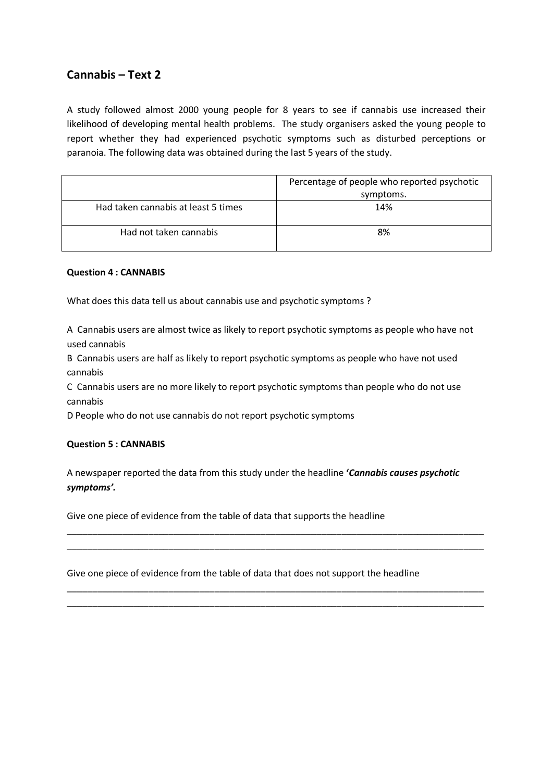# **Cannabis – Text 2**

A study followed almost 2000 young people for 8 years to see if cannabis use increased their likelihood of developing mental health problems. The study organisers asked the young people to report whether they had experienced psychotic symptoms such as disturbed perceptions or paranoia. The following data was obtained during the last 5 years of the study.

|                                     | Percentage of people who reported psychotic<br>symptoms. |
|-------------------------------------|----------------------------------------------------------|
| Had taken cannabis at least 5 times | 14%                                                      |
| Had not taken cannabis              | 8%                                                       |

#### **Question 4 : CANNABIS**

What does this data tell us about cannabis use and psychotic symptoms ?

A Cannabis users are almost twice as likely to report psychotic symptoms as people who have not used cannabis

B Cannabis users are half as likely to report psychotic symptoms as people who have not used cannabis

C Cannabis users are no more likely to report psychotic symptoms than people who do not use cannabis

D People who do not use cannabis do not report psychotic symptoms

#### **Question 5 : CANNABIS**

A newspaper reported the data from this study under the headline **'***Cannabis causes psychotic symptoms'.*

\_\_\_\_\_\_\_\_\_\_\_\_\_\_\_\_\_\_\_\_\_\_\_\_\_\_\_\_\_\_\_\_\_\_\_\_\_\_\_\_\_\_\_\_\_\_\_\_\_\_\_\_\_\_\_\_\_\_\_\_\_\_\_\_\_\_\_\_\_\_\_\_\_\_\_\_\_\_\_\_\_\_ \_\_\_\_\_\_\_\_\_\_\_\_\_\_\_\_\_\_\_\_\_\_\_\_\_\_\_\_\_\_\_\_\_\_\_\_\_\_\_\_\_\_\_\_\_\_\_\_\_\_\_\_\_\_\_\_\_\_\_\_\_\_\_\_\_\_\_\_\_\_\_\_\_\_\_\_\_\_\_\_\_\_

\_\_\_\_\_\_\_\_\_\_\_\_\_\_\_\_\_\_\_\_\_\_\_\_\_\_\_\_\_\_\_\_\_\_\_\_\_\_\_\_\_\_\_\_\_\_\_\_\_\_\_\_\_\_\_\_\_\_\_\_\_\_\_\_\_\_\_\_\_\_\_\_\_\_\_\_\_\_\_\_\_\_ \_\_\_\_\_\_\_\_\_\_\_\_\_\_\_\_\_\_\_\_\_\_\_\_\_\_\_\_\_\_\_\_\_\_\_\_\_\_\_\_\_\_\_\_\_\_\_\_\_\_\_\_\_\_\_\_\_\_\_\_\_\_\_\_\_\_\_\_\_\_\_\_\_\_\_\_\_\_\_\_\_\_

Give one piece of evidence from the table of data that supports the headline

Give one piece of evidence from the table of data that does not support the headline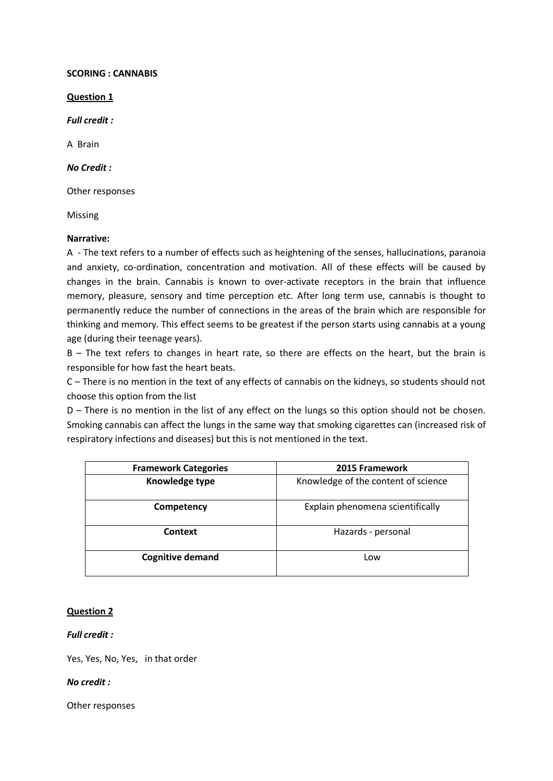#### **SCORING : CANNABIS**

**Question 1**

*Full credit :*

A Brain

#### *No Credit :*

Other responses

Missing

#### **Narrative:**

A - The text refers to a number of effects such as heightening of the senses, hallucinations, paranoia and anxiety, co-ordination, concentration and motivation. All of these effects will be caused by changes in the brain. Cannabis is known to over-activate receptors in the brain that influence memory, pleasure, sensory and time perception etc. After long term use, cannabis is thought to permanently reduce the number of connections in the areas of the brain which are responsible for thinking and memory. This effect seems to be greatest if the person starts using cannabis at a young age (during their teenage years).

B – The text refers to changes in heart rate, so there are effects on the heart, but the brain is responsible for how fast the heart beats.

C – There is no mention in the text of any effects of cannabis on the kidneys, so students should not choose this option from the list

D – There is no mention in the list of any effect on the lungs so this option should not be chosen. Smoking cannabis can affect the lungs in the same way that smoking cigarettes can (increased risk of respiratory infections and diseases) but this is not mentioned in the text.

| <b>Framework Categories</b> | 2015 Framework                      |
|-----------------------------|-------------------------------------|
| Knowledge type              | Knowledge of the content of science |
| Competency                  | Explain phenomena scientifically    |
| Context                     | Hazards - personal                  |
| <b>Cognitive demand</b>     | Low                                 |

#### **Question 2**

#### *Full credit :*

Yes, Yes, No, Yes, in that order

#### *No credit :*

Other responses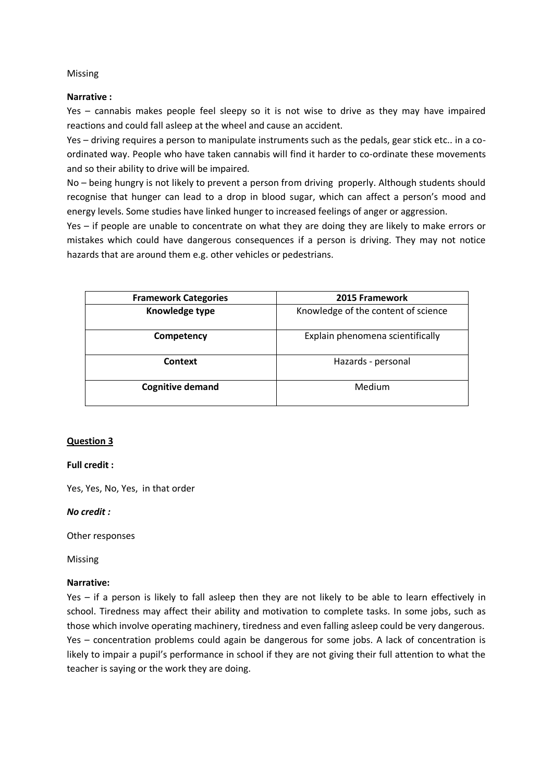#### Missing

#### **Narrative :**

Yes – cannabis makes people feel sleepy so it is not wise to drive as they may have impaired reactions and could fall asleep at the wheel and cause an accident.

Yes – driving requires a person to manipulate instruments such as the pedals, gear stick etc.. in a coordinated way. People who have taken cannabis will find it harder to co-ordinate these movements and so their ability to drive will be impaired.

No – being hungry is not likely to prevent a person from driving properly. Although students should recognise that hunger can lead to a drop in blood sugar, which can affect a person's mood and energy levels. Some studies have linked hunger to increased feelings of anger or aggression.

Yes – if people are unable to concentrate on what they are doing they are likely to make errors or mistakes which could have dangerous consequences if a person is driving. They may not notice hazards that are around them e.g. other vehicles or pedestrians.

| <b>Framework Categories</b> | 2015 Framework                      |
|-----------------------------|-------------------------------------|
| Knowledge type              | Knowledge of the content of science |
| Competency                  | Explain phenomena scientifically    |
| Context                     | Hazards - personal                  |
| <b>Cognitive demand</b>     | Medium                              |

# **Question 3**

#### **Full credit :**

Yes, Yes, No, Yes, in that order

#### *No credit :*

Other responses

Missing

# **Narrative:**

Yes – if a person is likely to fall asleep then they are not likely to be able to learn effectively in school. Tiredness may affect their ability and motivation to complete tasks. In some jobs, such as those which involve operating machinery, tiredness and even falling asleep could be very dangerous. Yes – concentration problems could again be dangerous for some jobs. A lack of concentration is likely to impair a pupil's performance in school if they are not giving their full attention to what the teacher is saying or the work they are doing.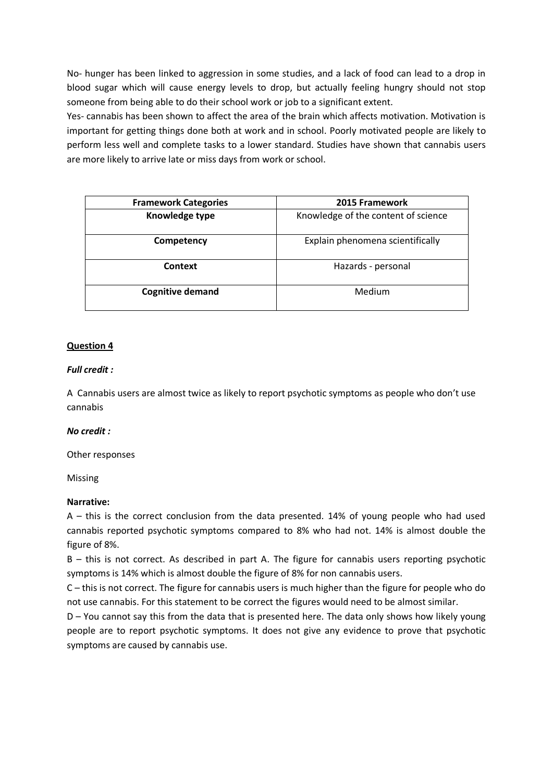No- hunger has been linked to aggression in some studies, and a lack of food can lead to a drop in blood sugar which will cause energy levels to drop, but actually feeling hungry should not stop someone from being able to do their school work or job to a significant extent.

Yes- cannabis has been shown to affect the area of the brain which affects motivation. Motivation is important for getting things done both at work and in school. Poorly motivated people are likely to perform less well and complete tasks to a lower standard. Studies have shown that cannabis users are more likely to arrive late or miss days from work or school.

| <b>Framework Categories</b> | 2015 Framework                      |
|-----------------------------|-------------------------------------|
| Knowledge type              | Knowledge of the content of science |
| Competency                  | Explain phenomena scientifically    |
| Context                     | Hazards - personal                  |
| <b>Cognitive demand</b>     | Medium                              |

## **Question 4**

#### *Full credit :*

A Cannabis users are almost twice as likely to report psychotic symptoms as people who don't use cannabis

#### *No credit :*

Other responses

Missing

#### **Narrative:**

A – this is the correct conclusion from the data presented. 14% of young people who had used cannabis reported psychotic symptoms compared to 8% who had not. 14% is almost double the figure of 8%.

B – this is not correct. As described in part A. The figure for cannabis users reporting psychotic symptoms is 14% which is almost double the figure of 8% for non cannabis users.

C – this is not correct. The figure for cannabis users is much higher than the figure for people who do not use cannabis. For this statement to be correct the figures would need to be almost similar.

D – You cannot say this from the data that is presented here. The data only shows how likely young people are to report psychotic symptoms. It does not give any evidence to prove that psychotic symptoms are caused by cannabis use.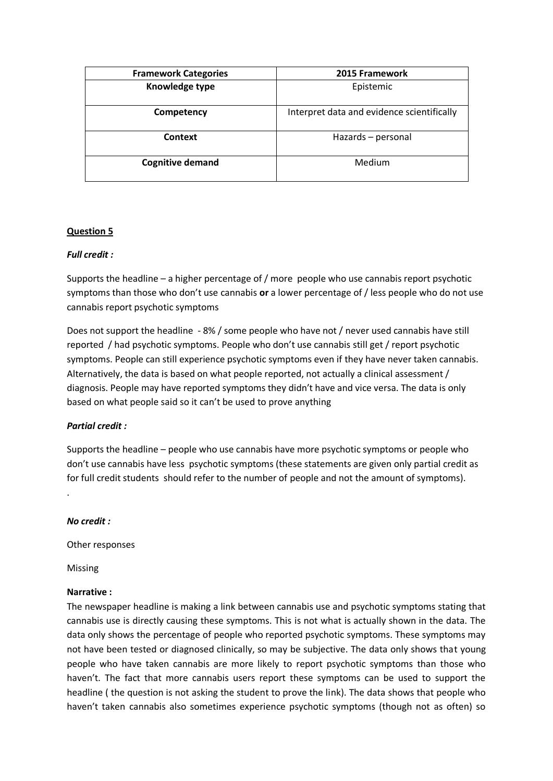| <b>Framework Categories</b> | 2015 Framework                             |
|-----------------------------|--------------------------------------------|
| Knowledge type              | Epistemic                                  |
| Competency                  | Interpret data and evidence scientifically |
| Context                     | Hazards - personal                         |
| <b>Cognitive demand</b>     | Medium                                     |

# **Question 5**

## *Full credit :*

Supports the headline – a higher percentage of / more people who use cannabis report psychotic symptoms than those who don't use cannabis **or** a lower percentage of / less people who do not use cannabis report psychotic symptoms

Does not support the headline - 8% / some people who have not / never used cannabis have still reported / had psychotic symptoms. People who don't use cannabis still get / report psychotic symptoms. People can still experience psychotic symptoms even if they have never taken cannabis. Alternatively, the data is based on what people reported, not actually a clinical assessment / diagnosis. People may have reported symptoms they didn't have and vice versa. The data is only based on what people said so it can't be used to prove anything

#### *Partial credit :*

Supports the headline – people who use cannabis have more psychotic symptoms or people who don't use cannabis have less psychotic symptoms (these statements are given only partial credit as for full credit students should refer to the number of people and not the amount of symptoms).

#### *No credit :*

.

Other responses

Missing

#### **Narrative :**

The newspaper headline is making a link between cannabis use and psychotic symptoms stating that cannabis use is directly causing these symptoms. This is not what is actually shown in the data. The data only shows the percentage of people who reported psychotic symptoms. These symptoms may not have been tested or diagnosed clinically, so may be subjective. The data only shows that young people who have taken cannabis are more likely to report psychotic symptoms than those who haven't. The fact that more cannabis users report these symptoms can be used to support the headline ( the question is not asking the student to prove the link). The data shows that people who haven't taken cannabis also sometimes experience psychotic symptoms (though not as often) so